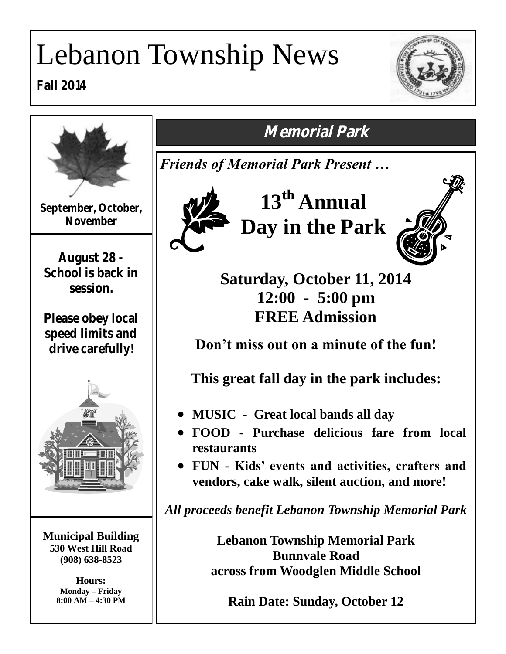# Lebanon Township News

**Fall 2014**





*Friends of Memorial Park Present …*

**13th Annual Day in the Park**



**Saturday, October 11, 2014 12:00 - 5:00 pm FREE Admission**

**Don't miss out on a minute of the fun!**

**This great fall day in the park includes:**

- **MUSIC Great local bands all day**
- **FOOD - Purchase delicious fare from local**
- **FUN - Kids' events and activities, crafters and vendors, cake walk, silent auction, and more!**

*All proceeds benefit Lebanon Township Memorial Park*

**Lebanon Township Memorial Park Bunnvale Road across from Woodglen Middle School**

**Rain Date: Sunday, October 12**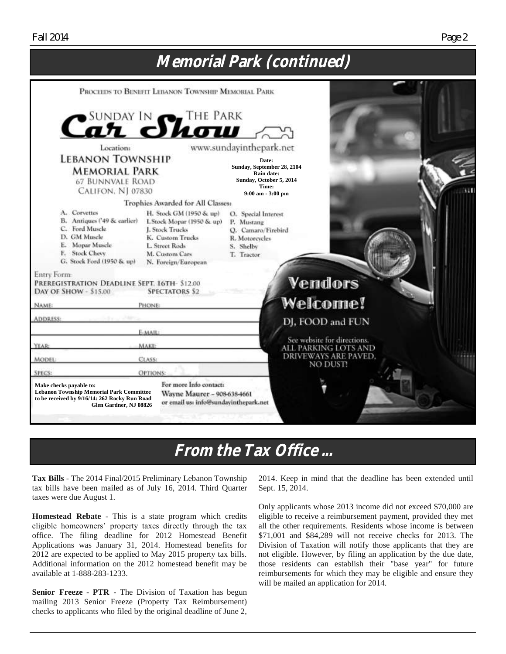#### **Memorial Park (continued)** PROCEEDS TO BENEFIT LEBANON TOWNSHIP MEMORIAL PARK SUNDAY IN THE PARK ளா www.sundavinthepark.net Locations **LEBANON TOWNSHIP Date: Sunday, September 28, 2104 MEMORIAL PARK Rain date: Sunday, October 5, 2014 67 BUNNVALE ROAD Time:** CALIFON, NJ 07830 **9:00 am - 3:00 pm** Trophies Awarded for All Classes: A. Corvettes H. Stock GM (1950 & up) O. Special Interest B. Antiques ('49 & earlier) I. Stock Mopar (1950 & up) P. Mustang C. Ford Muscle **1. Stock Trucks** Q. Camaro/Firebird D. GM Muscle K. Custom Trucks R. Motoreyeles E. Mopar Muscle L. Street Rods S. Shelby F. Stock Chevy M. Custom Cars T. Tractor G. Stock Ford (1950 & up) N. Foreign/European Entry Form: **Vendors** PREREGISTRATION DEADLINE SEPT. 16TH- \$12.00 DAY OF SHOW - \$15.00 **SPECTATORS \$2 Welcome! PHONE** NAME: **ADDRESS:** DJ, FOOD and FUN E-MAIL See website for directions. MAKE YEAR: ALL PARKING LOTS AND **DRIVEWAYS ARE PAVED. CLASS MODEL:** NO DUST! OPTIONS: **SPECS** For more Info contacts **Make checks payable to: Lebanon Township Memorial Park Committee** Wayne Maurer - 908-638-4661 **to be received by 9/16/14: 262 Rocky Run Road** or email us: info@sundayinthepark.net  **Glen Gardner, NJ 08826**

# **From the Tax Office ...**

**Tax Bills** - The 2014 Final/2015 Preliminary Lebanon Township tax bills have been mailed as of July 16, 2014. Third Quarter taxes were due August 1.

**Homestead Rebate** - This is a state program which credits eligible homeowners' property taxes directly through the tax office. The filing deadline for 2012 Homestead Benefit Applications was January 31, 2014. Homestead benefits for 2012 are expected to be applied to May 2015 property tax bills. Additional information on the 2012 homestead benefit may be available at 1-888-283-1233.

**Senior Freeze** - **PTR** - The Division of Taxation has begun mailing 2013 Senior Freeze (Property Tax Reimbursement) checks to applicants who filed by the original deadline of June 2, 2014. Keep in mind that the deadline has been extended until Sept. 15, 2014.

Only applicants whose 2013 income did not exceed \$70,000 are eligible to receive a reimbursement payment, provided they met all the other requirements. Residents whose income is between \$71,001 and \$84,289 will not receive checks for 2013. The Division of Taxation will notify those applicants that they are not eligible. However, by filing an application by the due date, those residents can establish their "base year" for future reimbursements for which they may be eligible and ensure they will be mailed an application for 2014.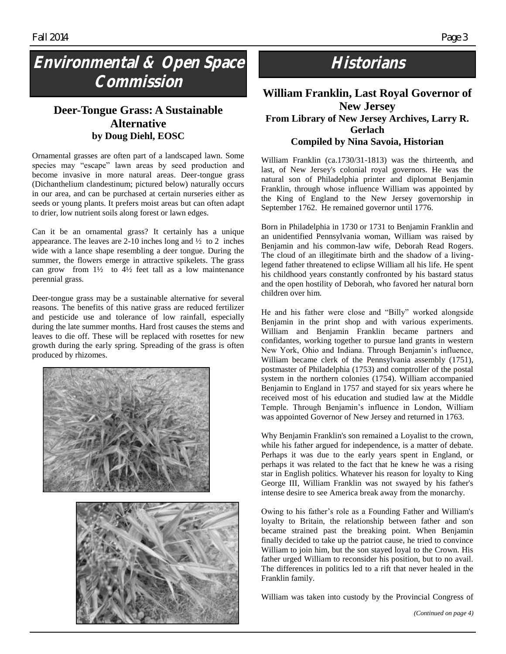# **Environmental & Open Space Commission**

### **Deer-Tongue Grass: A Sustainable Alternative by Doug Diehl, EOSC**

Ornamental grasses are often part of a landscaped lawn. Some species may "escape" lawn areas by seed production and become invasive in more natural areas. Deer-tongue grass (Dichanthelium clandestinum; pictured below) naturally occurs in our area, and can be purchased at certain nurseries either as seeds or young plants. It prefers moist areas but can often adapt to drier, low nutrient soils along forest or lawn edges.

Can it be an ornamental grass? It certainly has a unique appearance. The leaves are 2-10 inches long and  $\frac{1}{2}$  to 2 inches wide with a lance shape resembling a deer tongue. During the summer, the flowers emerge in attractive spikelets. The grass can grow from  $1\frac{1}{2}$  to  $4\frac{1}{2}$  feet tall as a low maintenance perennial grass.

Deer-tongue grass may be a sustainable alternative for several reasons. The benefits of this native grass are reduced fertilizer and pesticide use and tolerance of low rainfall, especially during the late summer months. Hard frost causes the stems and leaves to die off. These will be replaced with rosettes for new growth during the early spring. Spreading of the grass is often produced by rhizomes.





## **Historians**

#### **William Franklin, Last Royal Governor of New Jersey From Library of New Jersey Archives, Larry R. Gerlach Compiled by Nina Savoia, Historian**

William Franklin (ca.1730/31-1813) was the thirteenth, and last, of New Jersey's colonial royal governors. He was the natural son of Philadelphia printer and diplomat Benjamin Franklin, through whose influence William was appointed by the King of England to the New Jersey governorship in September 1762. He remained governor until 1776.

Born in Philadelphia in 1730 or 1731 to Benjamin Franklin and an unidentified Pennsylvania woman, William was raised by Benjamin and his common-law wife, Deborah Read Rogers. The cloud of an illegitimate birth and the shadow of a livinglegend father threatened to eclipse William all his life. He spent his childhood years constantly confronted by his bastard status and the open hostility of Deborah, who favored her natural born children over him.

He and his father were close and "Billy" worked alongside Benjamin in the print shop and with various experiments. William and Benjamin Franklin became partners and confidantes, working together to pursue land grants in western New York, Ohio and Indiana. Through Benjamin's influence, William became clerk of the Pennsylvania assembly (1751), postmaster of Philadelphia (1753) and comptroller of the postal system in the northern colonies (1754). William accompanied Benjamin to England in 1757 and stayed for six years where he received most of his education and studied law at the Middle Temple. Through Benjamin's influence in London, William was appointed Governor of New Jersey and returned in 1763.

Why Benjamin Franklin's son remained a Loyalist to the crown, while his father argued for independence, is a matter of debate. Perhaps it was due to the early years spent in England, or perhaps it was related to the fact that he knew he was a rising star in English politics. Whatever his reason for loyalty to King George III, William Franklin was not swayed by his father's intense desire to see America break away from the monarchy.

Owing to his father's role as a [Founding Father](http://en.wikipedia.org/wiki/Founding_Father) and William's loyalty to Britain, the relationship between father and son became strained past the breaking point. When Benjamin finally decided to take up the patriot cause, he tried to convince William to join him, but the son stayed loyal to the Crown. His father urged William to reconsider his position, but to no avail. The differences in politics led to a rift that never healed in the Franklin family.

William was taken into custody by the Provincial Congress of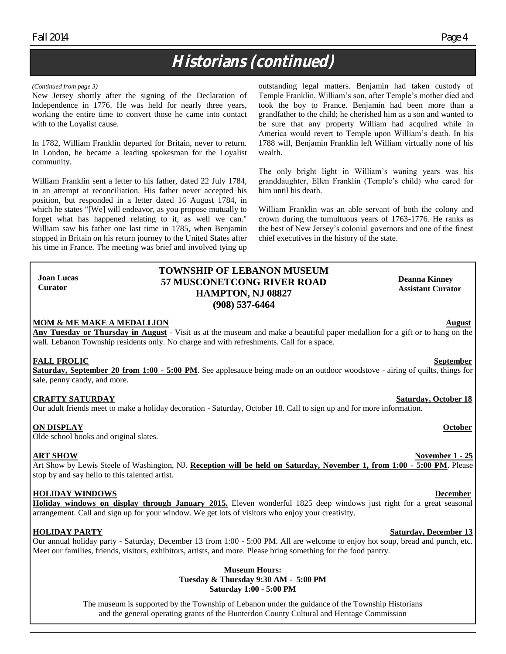# **Historians (continued)**

#### *(Continued from page 3)*

New Jersey shortly after the signing of the Declaration of Independence in 1776. He was held for nearly three years, working the entire time to convert those he came into contact with to the Loyalist cause.

In 1782, William Franklin departed for Britain, never to return. In London, he became a leading spokesman for the Loyalist community.

William Franklin sent a letter to his father, dated 22 July 1784, in an attempt at reconciliation. His father never accepted his position, but responded in a letter dated 16 August 1784, in which he states "[We] will endeavor, as you propose mutually to forget what has happened relating to it, as well we can." William saw his father one last time in 1785, when Benjamin stopped in Britain on his return journey to the United States after his time in France. The meeting was brief and involved tying up outstanding legal matters. Benjamin had taken custody of Temple Franklin, William's son, after Temple's mother died and took the boy to France. Benjamin had been more than a grandfather to the child; he cherished him as a son and wanted to be sure that any property William had acquired while in America would revert to Temple upon William's death. In his 1788 will, Benjamin Franklin left William virtually none of his wealth.

The only bright light in William's waning years was his granddaughter, Ellen Franklin (Temple's child) who cared for him until his death.

William Franklin was an able servant of both the colony and crown during the tumultuous years of 1763-1776. He ranks as the best of New Jersey's colonial governors and one of the finest chief executives in the history of the state.

#### **TOWNSHIP OF LEBANON MUSEUM 57 MUSCONETCONG RIVER ROAD HAMPTON, NJ 08827 (908) 537-6464**

#### **MOM & ME MAKE A MEDALLION August**

**Any Tuesday or Thursday in August** - Visit us at the museum and make a beautiful paper medallion for a gift or to hang on the wall. Lebanon Township residents only. No charge and with refreshments. Call for a space.

#### **FALL FROLIC September**

**Joan Lucas Curator**

**Saturday, September 20 from 1:00 - 5:00 PM**. See applesauce being made on an outdoor woodstove - airing of quilts, things for sale, penny candy, and more.

#### **CRAFTY SATURDAY Saturday, October 18**

Our adult friends meet to make a holiday decoration - Saturday, October 18. Call to sign up and for more information.

#### **ON DISPLAY October**

Olde school books and original slates.

Art Show by Lewis Steele of Washington, NJ. **Reception will be held on Saturday, November 1, from 1:00 - 5:00 PM**. Please stop by and say hello to this talented artist.

#### **HOLIDAY WINDOWS December**

**Holiday windows on display through January 2015.** Eleven wonderful 1825 deep windows just right for a great seasonal arrangement. Call and sign up for your window. We get lots of visitors who enjoy your creativity.

#### **HOLIDAY PARTY Saturday, December 13**

Our annual holiday party - Saturday, December 13 from 1:00 - 5:00 PM. All are welcome to enjoy hot soup, bread and punch, etc. Meet our families, friends, visitors, exhibitors, artists, and more. Please bring something for the food pantry.

#### **Museum Hours: Tuesday & Thursday 9:30 AM - 5:00 PM Saturday 1:00 - 5:00 PM**

The museum is supported by the Township of Lebanon under the guidance of the Township Historians and the general operating grants of the Hunterdon County Cultural and Heritage Commission

**Deanna Kinney Assistant Curator**

#### **ART SHOW November 1 - 25**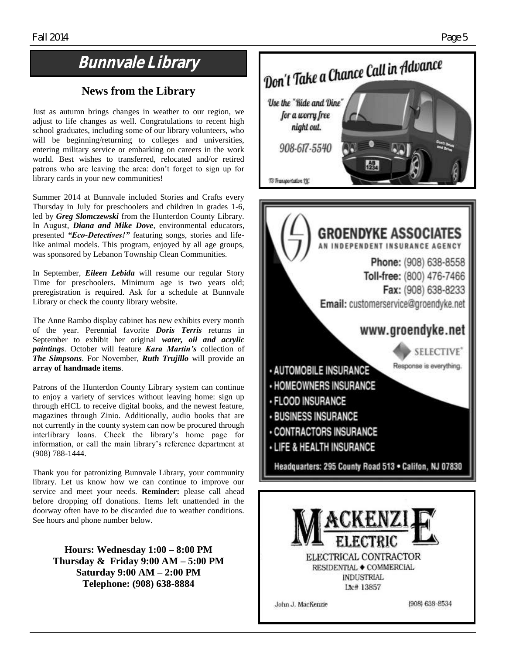# **Bunnvale Library**

### **News from the Library**

Just as autumn brings changes in weather to our region, we adjust to life changes as well. Congratulations to recent high school graduates, including some of our library volunteers, who will be beginning/returning to colleges and universities, entering military service or embarking on careers in the work world. Best wishes to transferred, relocated and/or retired patrons who are leaving the area: don't forget to sign up for library cards in your new communities!

Summer 2014 at Bunnvale included Stories and Crafts every Thursday in July for preschoolers and children in grades 1-6, led by *Greg Slomczewski* from the Hunterdon County Library. In August, *Diana and Mike Dove*, environmental educators, presented *"Eco-Detectives!"* featuring songs, stories and lifelike animal models. This program, enjoyed by all age groups, was sponsored by Lebanon Township Clean Communities.

In September, *Eileen Lebida* will resume our regular Story Time for preschoolers. Minimum age is two years old; preregistration is required. Ask for a schedule at Bunnvale Library or check the county library website.

The Anne Rambo display cabinet has new exhibits every month of the year. Perennial favorite *Doris Terris* returns in September to exhibit her original *water, oil and acrylic paintings*. October will feature *Kara Martin's* collection of *The Simpsons*. For November, *Ruth Trujillo* will provide an **array of handmade items**.

Patrons of the Hunterdon County Library system can continue to enjoy a variety of services without leaving home: sign up through eHCL to receive digital books, and the newest feature, magazines through Zinio. Additionally, audio books that are not currently in the county system can now be procured through interlibrary loans. Check the library's home page for information, or call the main library's reference department at (908) 788-1444.

Thank you for patronizing Bunnvale Library, your community library. Let us know how we can continue to improve our service and meet your needs. **Reminder:** please call ahead before dropping off donations. Items left unattended in the doorway often have to be discarded due to weather conditions. See hours and phone number below.

**Hours: Wednesday 1:00 – 8:00 PM Thursday & Friday 9:00 AM – 5:00 PM Saturday 9:00 AM – 2:00 PM Telephone: (908) 638-8884**



**INDUSTRIAL** Lte# 13857

John J. MacKenzie

(908) 638-8534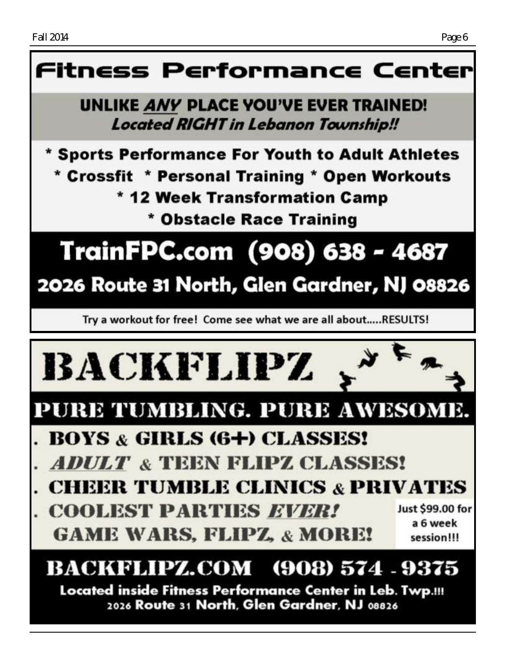# Fitness Performance Center

# **UNLIKE ANY PLACE YOU'VE EVER TRAINED! Located RIGHT in Lebanon Township!!**

\* Sports Performance For Youth to Adult Athletes \* Crossfit \* Personal Training \* Open Workouts \* 12 Week Transformation Camp

\* Obstacle Race Training

# TrainFPC.com (908) 638 - 4687

# 2026 Route 31 North, Glen Gardner, NJ 08826

Try a workout for free! Come see what we are all about.....RESULTS!



2026 Route 31 North, Glen Gardner, NJ 08826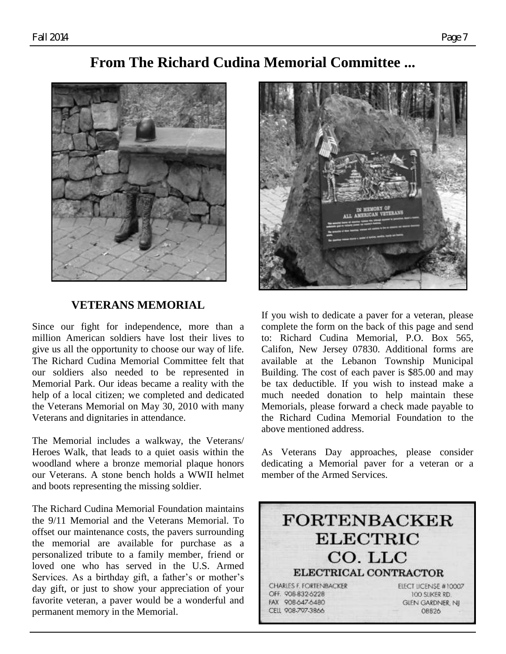## **From The Richard Cudina Memorial Committee ...**



### **VETERANS MEMORIAL**

Since our fight for independence, more than a million American soldiers have lost their lives to give us all the opportunity to choose our way of life. The Richard Cudina Memorial Committee felt that our soldiers also needed to be represented in Memorial Park. Our ideas became a reality with the help of a local citizen; we completed and dedicated the Veterans Memorial on May 30, 2010 with many Veterans and dignitaries in attendance.

The Memorial includes a walkway, the Veterans/ Heroes Walk, that leads to a quiet oasis within the woodland where a bronze memorial plaque honors our Veterans. A stone bench holds a WWII helmet and boots representing the missing soldier.

The Richard Cudina Memorial Foundation maintains the 9/11 Memorial and the Veterans Memorial. To offset our maintenance costs, the pavers surrounding the memorial are available for purchase as a personalized tribute to a family member, friend or loved one who has served in the U.S. Armed Services. As a birthday gift, a father's or mother's day gift, or just to show your appreciation of your favorite veteran, a paver would be a wonderful and permanent memory in the Memorial.



If you wish to dedicate a paver for a veteran, please complete the form on the back of this page and send to: Richard Cudina Memorial, P.O. Box 565, Califon, New Jersey 07830. Additional forms are available at the Lebanon Township Municipal Building. The cost of each paver is \$85.00 and may be tax deductible. If you wish to instead make a much needed donation to help maintain these Memorials, please forward a check made payable to the Richard Cudina Memorial Foundation to the above mentioned address.

As Veterans Day approaches, please consider dedicating a Memorial paver for a veteran or a member of the Armed Services.

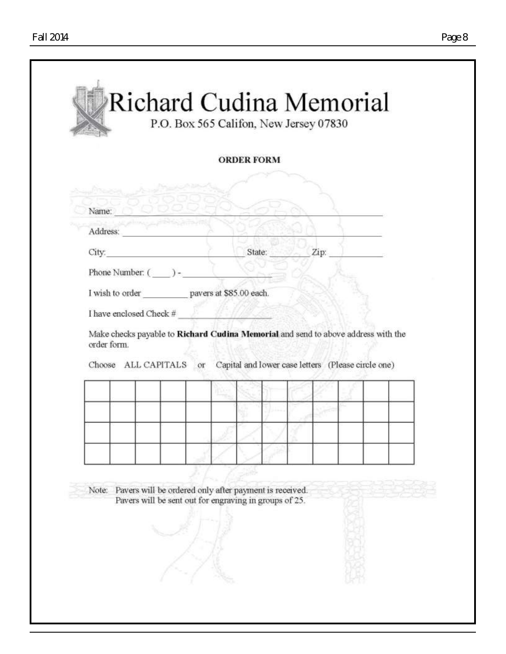| State: Zip:<br>10 L                                    |  |  | aul meneral de<br>Name: O<br>Address:<br>$\mathbf{City:}$ and $\mathbf{City:}$<br>Phone Number: ( ) -<br>I wish to order pavers at \$85.00 each.<br>I have enclosed Check #<br>order form. | Make checks payable to Richard Cudina Memorial and send to above address with the<br>Choose ALL CAPITALS or Capital and lower case letters (Please circle one) |  |  |  |  |  |  |  |  |  |  |  |  |  |  |  |  |  |  |  |  |  |  |  |  |  |  |  |  |  |  |  |  |  |
|--------------------------------------------------------|--|--|--------------------------------------------------------------------------------------------------------------------------------------------------------------------------------------------|----------------------------------------------------------------------------------------------------------------------------------------------------------------|--|--|--|--|--|--|--|--|--|--|--|--|--|--|--|--|--|--|--|--|--|--|--|--|--|--|--|--|--|--|--|--|--|
|                                                        |  |  |                                                                                                                                                                                            |                                                                                                                                                                |  |  |  |  |  |  |  |  |  |  |  |  |  |  |  |  |  |  |  |  |  |  |  |  |  |  |  |  |  |  |  |  |  |
|                                                        |  |  |                                                                                                                                                                                            |                                                                                                                                                                |  |  |  |  |  |  |  |  |  |  |  |  |  |  |  |  |  |  |  |  |  |  |  |  |  |  |  |  |  |  |  |  |  |
|                                                        |  |  |                                                                                                                                                                                            |                                                                                                                                                                |  |  |  |  |  |  |  |  |  |  |  |  |  |  |  |  |  |  |  |  |  |  |  |  |  |  |  |  |  |  |  |  |  |
|                                                        |  |  |                                                                                                                                                                                            |                                                                                                                                                                |  |  |  |  |  |  |  |  |  |  |  |  |  |  |  |  |  |  |  |  |  |  |  |  |  |  |  |  |  |  |  |  |  |
|                                                        |  |  |                                                                                                                                                                                            |                                                                                                                                                                |  |  |  |  |  |  |  |  |  |  |  |  |  |  |  |  |  |  |  |  |  |  |  |  |  |  |  |  |  |  |  |  |  |
|                                                        |  |  |                                                                                                                                                                                            |                                                                                                                                                                |  |  |  |  |  |  |  |  |  |  |  |  |  |  |  |  |  |  |  |  |  |  |  |  |  |  |  |  |  |  |  |  |  |
|                                                        |  |  |                                                                                                                                                                                            |                                                                                                                                                                |  |  |  |  |  |  |  |  |  |  |  |  |  |  |  |  |  |  |  |  |  |  |  |  |  |  |  |  |  |  |  |  |  |
|                                                        |  |  |                                                                                                                                                                                            |                                                                                                                                                                |  |  |  |  |  |  |  |  |  |  |  |  |  |  |  |  |  |  |  |  |  |  |  |  |  |  |  |  |  |  |  |  |  |
|                                                        |  |  |                                                                                                                                                                                            |                                                                                                                                                                |  |  |  |  |  |  |  |  |  |  |  |  |  |  |  |  |  |  |  |  |  |  |  |  |  |  |  |  |  |  |  |  |  |
|                                                        |  |  |                                                                                                                                                                                            |                                                                                                                                                                |  |  |  |  |  |  |  |  |  |  |  |  |  |  |  |  |  |  |  |  |  |  |  |  |  |  |  |  |  |  |  |  |  |
|                                                        |  |  |                                                                                                                                                                                            |                                                                                                                                                                |  |  |  |  |  |  |  |  |  |  |  |  |  |  |  |  |  |  |  |  |  |  |  |  |  |  |  |  |  |  |  |  |  |
|                                                        |  |  |                                                                                                                                                                                            |                                                                                                                                                                |  |  |  |  |  |  |  |  |  |  |  |  |  |  |  |  |  |  |  |  |  |  |  |  |  |  |  |  |  |  |  |  |  |
|                                                        |  |  |                                                                                                                                                                                            |                                                                                                                                                                |  |  |  |  |  |  |  |  |  |  |  |  |  |  |  |  |  |  |  |  |  |  |  |  |  |  |  |  |  |  |  |  |  |
|                                                        |  |  |                                                                                                                                                                                            |                                                                                                                                                                |  |  |  |  |  |  |  |  |  |  |  |  |  |  |  |  |  |  |  |  |  |  |  |  |  |  |  |  |  |  |  |  |  |
|                                                        |  |  |                                                                                                                                                                                            |                                                                                                                                                                |  |  |  |  |  |  |  |  |  |  |  |  |  |  |  |  |  |  |  |  |  |  |  |  |  |  |  |  |  |  |  |  |  |
|                                                        |  |  |                                                                                                                                                                                            |                                                                                                                                                                |  |  |  |  |  |  |  |  |  |  |  |  |  |  |  |  |  |  |  |  |  |  |  |  |  |  |  |  |  |  |  |  |  |
|                                                        |  |  |                                                                                                                                                                                            |                                                                                                                                                                |  |  |  |  |  |  |  |  |  |  |  |  |  |  |  |  |  |  |  |  |  |  |  |  |  |  |  |  |  |  |  |  |  |
| Pavers will be ordered only after payment is received. |  |  | Note:                                                                                                                                                                                      |                                                                                                                                                                |  |  |  |  |  |  |  |  |  |  |  |  |  |  |  |  |  |  |  |  |  |  |  |  |  |  |  |  |  |  |  |  |  |
| Pavers will be sent out for engraving in groups of 25. |  |  |                                                                                                                                                                                            |                                                                                                                                                                |  |  |  |  |  |  |  |  |  |  |  |  |  |  |  |  |  |  |  |  |  |  |  |  |  |  |  |  |  |  |  |  |  |
|                                                        |  |  |                                                                                                                                                                                            |                                                                                                                                                                |  |  |  |  |  |  |  |  |  |  |  |  |  |  |  |  |  |  |  |  |  |  |  |  |  |  |  |  |  |  |  |  |  |
|                                                        |  |  |                                                                                                                                                                                            |                                                                                                                                                                |  |  |  |  |  |  |  |  |  |  |  |  |  |  |  |  |  |  |  |  |  |  |  |  |  |  |  |  |  |  |  |  |  |
|                                                        |  |  |                                                                                                                                                                                            |                                                                                                                                                                |  |  |  |  |  |  |  |  |  |  |  |  |  |  |  |  |  |  |  |  |  |  |  |  |  |  |  |  |  |  |  |  |  |
|                                                        |  |  |                                                                                                                                                                                            |                                                                                                                                                                |  |  |  |  |  |  |  |  |  |  |  |  |  |  |  |  |  |  |  |  |  |  |  |  |  |  |  |  |  |  |  |  |  |
|                                                        |  |  |                                                                                                                                                                                            |                                                                                                                                                                |  |  |  |  |  |  |  |  |  |  |  |  |  |  |  |  |  |  |  |  |  |  |  |  |  |  |  |  |  |  |  |  |  |
|                                                        |  |  |                                                                                                                                                                                            |                                                                                                                                                                |  |  |  |  |  |  |  |  |  |  |  |  |  |  |  |  |  |  |  |  |  |  |  |  |  |  |  |  |  |  |  |  |  |
|                                                        |  |  |                                                                                                                                                                                            |                                                                                                                                                                |  |  |  |  |  |  |  |  |  |  |  |  |  |  |  |  |  |  |  |  |  |  |  |  |  |  |  |  |  |  |  |  |  |
|                                                        |  |  |                                                                                                                                                                                            |                                                                                                                                                                |  |  |  |  |  |  |  |  |  |  |  |  |  |  |  |  |  |  |  |  |  |  |  |  |  |  |  |  |  |  |  |  |  |
|                                                        |  |  |                                                                                                                                                                                            |                                                                                                                                                                |  |  |  |  |  |  |  |  |  |  |  |  |  |  |  |  |  |  |  |  |  |  |  |  |  |  |  |  |  |  |  |  |  |
|                                                        |  |  |                                                                                                                                                                                            |                                                                                                                                                                |  |  |  |  |  |  |  |  |  |  |  |  |  |  |  |  |  |  |  |  |  |  |  |  |  |  |  |  |  |  |  |  |  |
|                                                        |  |  |                                                                                                                                                                                            |                                                                                                                                                                |  |  |  |  |  |  |  |  |  |  |  |  |  |  |  |  |  |  |  |  |  |  |  |  |  |  |  |  |  |  |  |  |  |
|                                                        |  |  |                                                                                                                                                                                            |                                                                                                                                                                |  |  |  |  |  |  |  |  |  |  |  |  |  |  |  |  |  |  |  |  |  |  |  |  |  |  |  |  |  |  |  |  |  |
|                                                        |  |  |                                                                                                                                                                                            |                                                                                                                                                                |  |  |  |  |  |  |  |  |  |  |  |  |  |  |  |  |  |  |  |  |  |  |  |  |  |  |  |  |  |  |  |  |  |
|                                                        |  |  |                                                                                                                                                                                            |                                                                                                                                                                |  |  |  |  |  |  |  |  |  |  |  |  |  |  |  |  |  |  |  |  |  |  |  |  |  |  |  |  |  |  |  |  |  |
|                                                        |  |  |                                                                                                                                                                                            |                                                                                                                                                                |  |  |  |  |  |  |  |  |  |  |  |  |  |  |  |  |  |  |  |  |  |  |  |  |  |  |  |  |  |  |  |  |  |
|                                                        |  |  |                                                                                                                                                                                            |                                                                                                                                                                |  |  |  |  |  |  |  |  |  |  |  |  |  |  |  |  |  |  |  |  |  |  |  |  |  |  |  |  |  |  |  |  |  |
|                                                        |  |  |                                                                                                                                                                                            |                                                                                                                                                                |  |  |  |  |  |  |  |  |  |  |  |  |  |  |  |  |  |  |  |  |  |  |  |  |  |  |  |  |  |  |  |  |  |
|                                                        |  |  |                                                                                                                                                                                            |                                                                                                                                                                |  |  |  |  |  |  |  |  |  |  |  |  |  |  |  |  |  |  |  |  |  |  |  |  |  |  |  |  |  |  |  |  |  |
|                                                        |  |  |                                                                                                                                                                                            |                                                                                                                                                                |  |  |  |  |  |  |  |  |  |  |  |  |  |  |  |  |  |  |  |  |  |  |  |  |  |  |  |  |  |  |  |  |  |
|                                                        |  |  |                                                                                                                                                                                            |                                                                                                                                                                |  |  |  |  |  |  |  |  |  |  |  |  |  |  |  |  |  |  |  |  |  |  |  |  |  |  |  |  |  |  |  |  |  |
|                                                        |  |  |                                                                                                                                                                                            |                                                                                                                                                                |  |  |  |  |  |  |  |  |  |  |  |  |  |  |  |  |  |  |  |  |  |  |  |  |  |  |  |  |  |  |  |  |  |
|                                                        |  |  |                                                                                                                                                                                            |                                                                                                                                                                |  |  |  |  |  |  |  |  |  |  |  |  |  |  |  |  |  |  |  |  |  |  |  |  |  |  |  |  |  |  |  |  |  |
|                                                        |  |  |                                                                                                                                                                                            |                                                                                                                                                                |  |  |  |  |  |  |  |  |  |  |  |  |  |  |  |  |  |  |  |  |  |  |  |  |  |  |  |  |  |  |  |  |  |
|                                                        |  |  |                                                                                                                                                                                            |                                                                                                                                                                |  |  |  |  |  |  |  |  |  |  |  |  |  |  |  |  |  |  |  |  |  |  |  |  |  |  |  |  |  |  |  |  |  |
|                                                        |  |  |                                                                                                                                                                                            |                                                                                                                                                                |  |  |  |  |  |  |  |  |  |  |  |  |  |  |  |  |  |  |  |  |  |  |  |  |  |  |  |  |  |  |  |  |  |
|                                                        |  |  |                                                                                                                                                                                            |                                                                                                                                                                |  |  |  |  |  |  |  |  |  |  |  |  |  |  |  |  |  |  |  |  |  |  |  |  |  |  |  |  |  |  |  |  |  |
|                                                        |  |  |                                                                                                                                                                                            |                                                                                                                                                                |  |  |  |  |  |  |  |  |  |  |  |  |  |  |  |  |  |  |  |  |  |  |  |  |  |  |  |  |  |  |  |  |  |
|                                                        |  |  |                                                                                                                                                                                            |                                                                                                                                                                |  |  |  |  |  |  |  |  |  |  |  |  |  |  |  |  |  |  |  |  |  |  |  |  |  |  |  |  |  |  |  |  |  |
|                                                        |  |  |                                                                                                                                                                                            |                                                                                                                                                                |  |  |  |  |  |  |  |  |  |  |  |  |  |  |  |  |  |  |  |  |  |  |  |  |  |  |  |  |  |  |  |  |  |
|                                                        |  |  |                                                                                                                                                                                            |                                                                                                                                                                |  |  |  |  |  |  |  |  |  |  |  |  |  |  |  |  |  |  |  |  |  |  |  |  |  |  |  |  |  |  |  |  |  |
|                                                        |  |  |                                                                                                                                                                                            |                                                                                                                                                                |  |  |  |  |  |  |  |  |  |  |  |  |  |  |  |  |  |  |  |  |  |  |  |  |  |  |  |  |  |  |  |  |  |
|                                                        |  |  |                                                                                                                                                                                            |                                                                                                                                                                |  |  |  |  |  |  |  |  |  |  |  |  |  |  |  |  |  |  |  |  |  |  |  |  |  |  |  |  |  |  |  |  |  |
|                                                        |  |  |                                                                                                                                                                                            |                                                                                                                                                                |  |  |  |  |  |  |  |  |  |  |  |  |  |  |  |  |  |  |  |  |  |  |  |  |  |  |  |  |  |  |  |  |  |
|                                                        |  |  |                                                                                                                                                                                            |                                                                                                                                                                |  |  |  |  |  |  |  |  |  |  |  |  |  |  |  |  |  |  |  |  |  |  |  |  |  |  |  |  |  |  |  |  |  |
|                                                        |  |  |                                                                                                                                                                                            |                                                                                                                                                                |  |  |  |  |  |  |  |  |  |  |  |  |  |  |  |  |  |  |  |  |  |  |  |  |  |  |  |  |  |  |  |  |  |
|                                                        |  |  |                                                                                                                                                                                            |                                                                                                                                                                |  |  |  |  |  |  |  |  |  |  |  |  |  |  |  |  |  |  |  |  |  |  |  |  |  |  |  |  |  |  |  |  |  |
|                                                        |  |  |                                                                                                                                                                                            |                                                                                                                                                                |  |  |  |  |  |  |  |  |  |  |  |  |  |  |  |  |  |  |  |  |  |  |  |  |  |  |  |  |  |  |  |  |  |
|                                                        |  |  |                                                                                                                                                                                            |                                                                                                                                                                |  |  |  |  |  |  |  |  |  |  |  |  |  |  |  |  |  |  |  |  |  |  |  |  |  |  |  |  |  |  |  |  |  |
|                                                        |  |  |                                                                                                                                                                                            |                                                                                                                                                                |  |  |  |  |  |  |  |  |  |  |  |  |  |  |  |  |  |  |  |  |  |  |  |  |  |  |  |  |  |  |  |  |  |
|                                                        |  |  |                                                                                                                                                                                            |                                                                                                                                                                |  |  |  |  |  |  |  |  |  |  |  |  |  |  |  |  |  |  |  |  |  |  |  |  |  |  |  |  |  |  |  |  |  |
|                                                        |  |  |                                                                                                                                                                                            |                                                                                                                                                                |  |  |  |  |  |  |  |  |  |  |  |  |  |  |  |  |  |  |  |  |  |  |  |  |  |  |  |  |  |  |  |  |  |
|                                                        |  |  |                                                                                                                                                                                            |                                                                                                                                                                |  |  |  |  |  |  |  |  |  |  |  |  |  |  |  |  |  |  |  |  |  |  |  |  |  |  |  |  |  |  |  |  |  |
|                                                        |  |  |                                                                                                                                                                                            |                                                                                                                                                                |  |  |  |  |  |  |  |  |  |  |  |  |  |  |  |  |  |  |  |  |  |  |  |  |  |  |  |  |  |  |  |  |  |
|                                                        |  |  |                                                                                                                                                                                            |                                                                                                                                                                |  |  |  |  |  |  |  |  |  |  |  |  |  |  |  |  |  |  |  |  |  |  |  |  |  |  |  |  |  |  |  |  |  |
|                                                        |  |  |                                                                                                                                                                                            |                                                                                                                                                                |  |  |  |  |  |  |  |  |  |  |  |  |  |  |  |  |  |  |  |  |  |  |  |  |  |  |  |  |  |  |  |  |  |
|                                                        |  |  |                                                                                                                                                                                            |                                                                                                                                                                |  |  |  |  |  |  |  |  |  |  |  |  |  |  |  |  |  |  |  |  |  |  |  |  |  |  |  |  |  |  |  |  |  |
|                                                        |  |  |                                                                                                                                                                                            |                                                                                                                                                                |  |  |  |  |  |  |  |  |  |  |  |  |  |  |  |  |  |  |  |  |  |  |  |  |  |  |  |  |  |  |  |  |  |
|                                                        |  |  |                                                                                                                                                                                            |                                                                                                                                                                |  |  |  |  |  |  |  |  |  |  |  |  |  |  |  |  |  |  |  |  |  |  |  |  |  |  |  |  |  |  |  |  |  |
|                                                        |  |  |                                                                                                                                                                                            |                                                                                                                                                                |  |  |  |  |  |  |  |  |  |  |  |  |  |  |  |  |  |  |  |  |  |  |  |  |  |  |  |  |  |  |  |  |  |
|                                                        |  |  |                                                                                                                                                                                            |                                                                                                                                                                |  |  |  |  |  |  |  |  |  |  |  |  |  |  |  |  |  |  |  |  |  |  |  |  |  |  |  |  |  |  |  |  |  |
|                                                        |  |  |                                                                                                                                                                                            |                                                                                                                                                                |  |  |  |  |  |  |  |  |  |  |  |  |  |  |  |  |  |  |  |  |  |  |  |  |  |  |  |  |  |  |  |  |  |
|                                                        |  |  |                                                                                                                                                                                            |                                                                                                                                                                |  |  |  |  |  |  |  |  |  |  |  |  |  |  |  |  |  |  |  |  |  |  |  |  |  |  |  |  |  |  |  |  |  |
|                                                        |  |  |                                                                                                                                                                                            |                                                                                                                                                                |  |  |  |  |  |  |  |  |  |  |  |  |  |  |  |  |  |  |  |  |  |  |  |  |  |  |  |  |  |  |  |  |  |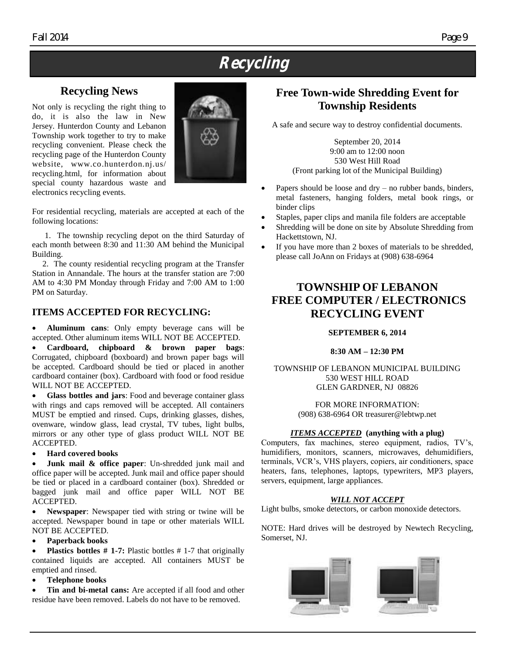# **Recycling**

### **Recycling News**

Not only is recycling the right thing to do, it is also the law in New Jersey. Hunterdon County and Lebanon Township work together to try to make recycling convenient. Please check the recycling page of the Hunterdon County website, www.co.hunterdon.nj.us/ recycling.html, for information about special county hazardous waste and electronics recycling events.



For residential recycling, materials are accepted at each of the following locations:

 1. The township recycling depot on the third Saturday of each month between 8:30 and 11:30 AM behind the Municipal Building.

 2. The county residential recycling program at the Transfer Station in Annandale. The hours at the transfer station are 7:00 AM to 4:30 PM Monday through Friday and 7:00 AM to 1:00 PM on Saturday.

#### **ITEMS ACCEPTED FOR RECYCLING:**

 **Aluminum cans**: Only empty beverage cans will be accepted. Other aluminum items WILL NOT BE ACCEPTED.

 **Cardboard, chipboard & brown paper bags**: Corrugated, chipboard (boxboard) and brown paper bags will be accepted. Cardboard should be tied or placed in another cardboard container (box). Cardboard with food or food residue WILL NOT BE ACCEPTED.

 **Glass bottles and jars**: Food and beverage container glass with rings and caps removed will be accepted. All containers MUST be emptied and rinsed. Cups, drinking glasses, dishes, ovenware, window glass, lead crystal, TV tubes, light bulbs, mirrors or any other type of glass product WILL NOT BE ACCEPTED.

#### **Hard covered books**

 **Junk mail & office paper**: Un-shredded junk mail and office paper will be accepted. Junk mail and office paper should be tied or placed in a cardboard container (box). Shredded or bagged junk mail and office paper WILL NOT BE ACCEPTED.

 **Newspaper**: Newspaper tied with string or twine will be accepted. Newspaper bound in tape or other materials WILL NOT BE ACCEPTED.

#### **Paperback books**

 **Plastics bottles # 1-7:** Plastic bottles # 1-7 that originally contained liquids are accepted. All containers MUST be emptied and rinsed.

**Telephone books**

 **Tin and bi-metal cans:** Are accepted if all food and other residue have been removed. Labels do not have to be removed.

### **Free Town-wide Shredding Event for Township Residents**

A safe and secure way to destroy confidential documents.

September 20, 2014 9:00 am to 12:00 noon 530 West Hill Road (Front parking lot of the Municipal Building)

- Papers should be loose and dry no rubber bands, binders, metal fasteners, hanging folders, metal book rings, or binder clips
- Staples, paper clips and manila file folders are acceptable
- Shredding will be done on site by Absolute Shredding from Hackettstown, NJ.
- If you have more than 2 boxes of materials to be shredded, please call JoAnn on Fridays at (908) 638-6964

### **TOWNSHIP OF LEBANON FREE COMPUTER / ELECTRONICS RECYCLING EVENT**

#### **SEPTEMBER 6, 2014**

#### **8:30 AM – 12:30 PM**

TOWNSHIP OF LEBANON MUNICIPAL BUILDING 530 WEST HILL ROAD GLEN GARDNER, NJ 08826

> FOR MORE INFORMATION: (908) 638-6964 OR treasurer@lebtwp.net

#### *ITEMS ACCEPTED* **(anything with a plug)**

Computers, fax machines, stereo equipment, radios, TV's, humidifiers, monitors, scanners, microwaves, dehumidifiers, terminals, VCR's, VHS players, copiers, air conditioners, space heaters, fans, telephones, laptops, typewriters, MP3 players, servers, equipment, large appliances.

#### *WILL NOT ACCEPT*

Light bulbs, smoke detectors, or carbon monoxide detectors.

NOTE: Hard drives will be destroyed by Newtech Recycling, Somerset, NJ.

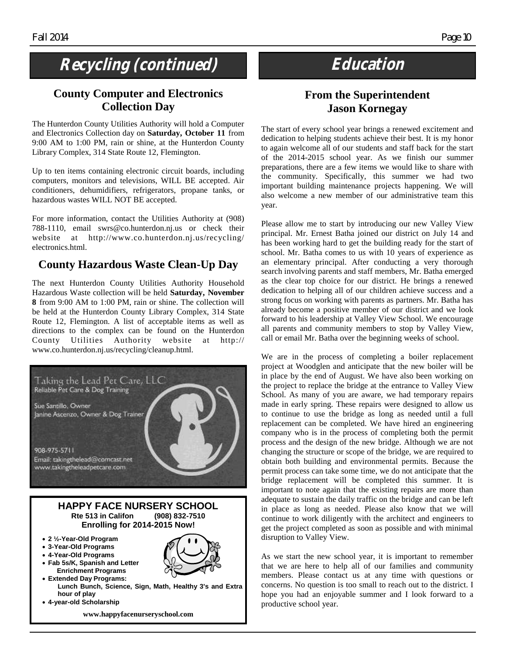# Recycling (continued) **Education**

### **County Computer and Electronics Collection Day**

The Hunterdon County Utilities Authority will hold a Computer and Electronics Collection day on **Saturday, October 11** from 9:00 AM to 1:00 PM, rain or shine, at the Hunterdon County Library Complex, 314 State Route 12, Flemington.

Up to ten items containing electronic circuit boards, including computers, monitors and televisions, WILL BE accepted. Air conditioners, dehumidifiers, refrigerators, propane tanks, or hazardous wastes WILL NOT BE accepted.

For more information, contact the Utilities Authority at (908) 788-1110, email swrs@co.hunterdon.nj.us or check their website at http://www.co.hunterdon.nj.us/recycling/ electronics.html.

### **County Hazardous Waste Clean-Up Day**

The next Hunterdon County Utilities Authority Household Hazardous Waste collection will be held **Saturday, November 8** from 9:00 AM to 1:00 PM, rain or shine. The collection will be held at the Hunterdon County Library Complex, 314 State Route 12, Flemington. A list of acceptable items as well as directions to the complex can be found on the Hunterdon County Utilities Authority website at http:// www.co.hunterdon.nj.us/recycling/cleanup.html.



### **From the Superintendent Jason Kornegay**

The start of every school year brings a renewed excitement and dedication to helping students achieve their best. It is my honor to again welcome all of our students and staff back for the start of the 2014-2015 school year. As we finish our summer preparations, there are a few items we would like to share with the community. Specifically, this summer we had two important building maintenance projects happening. We will also welcome a new member of our administrative team this year.

Please allow me to start by introducing our new Valley View principal. Mr. Ernest Batha joined our district on July 14 and has been working hard to get the building ready for the start of school. Mr. Batha comes to us with 10 years of experience as an elementary principal. After conducting a very thorough search involving parents and staff members, Mr. Batha emerged as the clear top choice for our district. He brings a renewed dedication to helping all of our children achieve success and a strong focus on working with parents as partners. Mr. Batha has already become a positive member of our district and we look forward to his leadership at Valley View School. We encourage all parents and community members to stop by Valley View, call or email Mr. Batha over the beginning weeks of school.

We are in the process of completing a boiler replacement project at Woodglen and anticipate that the new boiler will be in place by the end of August. We have also been working on the project to replace the bridge at the entrance to Valley View School. As many of you are aware, we had temporary repairs made in early spring. These repairs were designed to allow us to continue to use the bridge as long as needed until a full replacement can be completed. We have hired an engineering company who is in the process of completing both the permit process and the design of the new bridge. Although we are not changing the structure or scope of the bridge, we are required to obtain both building and environmental permits. Because the permit process can take some time, we do not anticipate that the bridge replacement will be completed this summer. It is important to note again that the existing repairs are more than adequate to sustain the daily traffic on the bridge and can be left in place as long as needed. Please also know that we will continue to work diligently with the architect and engineers to get the project completed as soon as possible and with minimal disruption to Valley View.

As we start the new school year, it is important to remember that we are here to help all of our families and community members. Please contact us at any time with questions or concerns. No question is too small to reach out to the district. I hope you had an enjoyable summer and I look forward to a productive school year.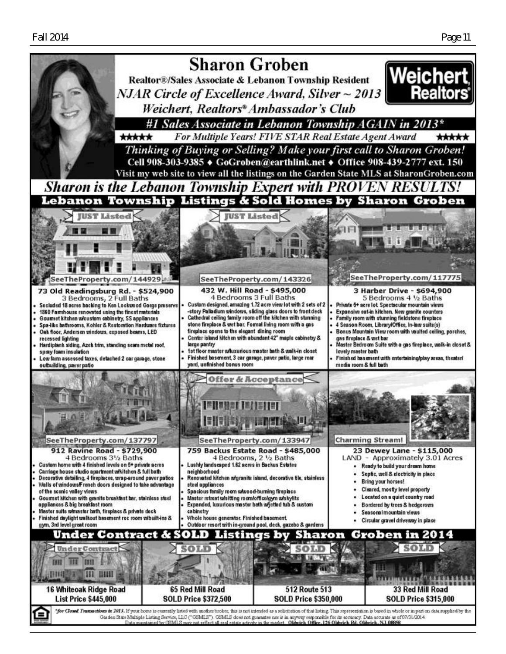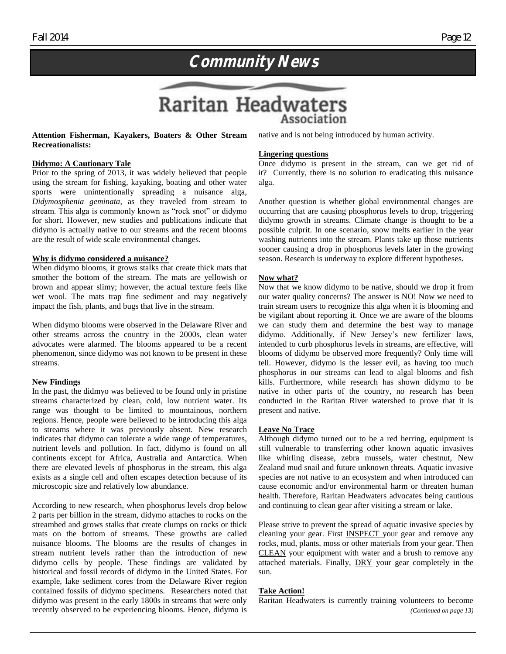

#### **Attention Fisherman, Kayakers, Boaters & Other Stream Recreationalists:**

#### **Didymo: A Cautionary Tale**

Prior to the spring of 2013, it was widely believed that people using the stream for fishing, kayaking, boating and other water sports were unintentionally spreading a nuisance alga, *Didymosphenia geminata*, as they traveled from stream to stream. This alga is commonly known as "rock snot" or didymo for short. However, new studies and publications indicate that didymo is actually native to our streams and the recent blooms are the result of wide scale environmental changes.

#### **Why is didymo considered a nuisance?**

When didymo blooms, it grows stalks that create thick mats that smother the bottom of the stream. The mats are yellowish or brown and appear slimy; however, the actual texture feels like wet wool. The mats trap fine sediment and may negatively impact the fish, plants, and bugs that live in the stream.

When didymo blooms were observed in the Delaware River and other streams across the country in the 2000s, clean water advocates were alarmed. The blooms appeared to be a recent phenomenon, since didymo was not known to be present in these streams.

#### **New Findings**

In the past, the didmyo was believed to be found only in pristine streams characterized by clean, cold, low nutrient water. Its range was thought to be limited to mountainous, northern regions. Hence, people were believed to be introducing this alga to streams where it was previously absent. New research indicates that didymo can tolerate a wide range of temperatures, nutrient levels and pollution. In fact, didymo is found on all continents except for Africa, Australia and Antarctica. When there are elevated levels of phosphorus in the stream, this alga exists as a single cell and often escapes detection because of its microscopic size and relatively low abundance.

According to new research, when phosphorus levels drop below 2 parts per billion in the stream, didymo attaches to rocks on the streambed and grows stalks that create clumps on rocks or thick mats on the bottom of streams. These growths are called nuisance blooms. The blooms are the results of changes in stream nutrient levels rather than the introduction of new didymo cells by people. These findings are validated by historical and fossil records of didymo in the United States. For example, lake sediment cores from the Delaware River region contained fossils of didymo specimens. Researchers noted that didymo was present in the early 1800s in streams that were only recently observed to be experiencing blooms. Hence, didymo is native and is not being introduced by human activity.

#### **Lingering questions**

Association

Once didymo is present in the stream, can we get rid of it? Currently, there is no solution to eradicating this nuisance alga.

Another question is whether global environmental changes are occurring that are causing phosphorus levels to drop, triggering didymo growth in streams. Climate change is thought to be a possible culprit. In one scenario, snow melts earlier in the year washing nutrients into the stream. Plants take up those nutrients sooner causing a drop in phosphorus levels later in the growing season. Research is underway to explore different hypotheses.

#### **Now what?**

Now that we know didymo to be native, should we drop it from our water quality concerns? The answer is NO! Now we need to train stream users to recognize this alga when it is blooming and be vigilant about reporting it. Once we are aware of the blooms we can study them and determine the best way to manage didymo. Additionally, if New Jersey's new fertilizer laws, intended to curb phosphorus levels in streams, are effective, will blooms of didymo be observed more frequently? Only time will tell. However, didymo is the lesser evil, as having too much phosphorus in our streams can lead to algal blooms and fish kills. Furthermore, while research has shown didymo to be native in other parts of the country, no research has been conducted in the Raritan River watershed to prove that it is present and native.

#### **Leave No Trace**

Although didymo turned out to be a red herring, equipment is still vulnerable to transferring other known aquatic invasives like whirling disease, zebra mussels, water chestnut, New Zealand mud snail and future unknown threats. Aquatic invasive species are not native to an ecosystem and when introduced can cause economic and/or environmental harm or threaten human health. Therefore, Raritan Headwaters advocates being cautious and continuing to clean gear after visiting a stream or lake.

Please strive to prevent the spread of aquatic invasive species by cleaning your gear. First INSPECT your gear and remove any rocks, mud, plants, moss or other materials from your gear. Then CLEAN your equipment with water and a brush to remove any attached materials. Finally, DRY your gear completely in the sun.

#### **Take Action!**

Raritan Headwaters is currently training volunteers to become *(Continued on page 13)*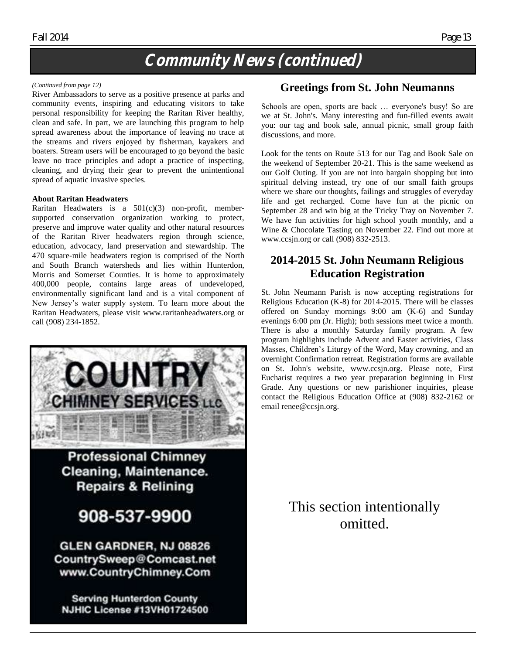# **Community News (continued)**

#### *(Continued from page 12)*

River Ambassadors to serve as a positive presence at parks and community events, inspiring and educating visitors to take personal responsibility for keeping the Raritan River healthy, clean and safe. In part, we are launching this program to help spread awareness about the importance of leaving no trace at the streams and rivers enjoyed by fisherman, kayakers and boaters. Stream users will be encouraged to go beyond the basic leave no trace principles and adopt a practice of inspecting, cleaning, and drying their gear to prevent the unintentional spread of aquatic invasive species.

#### **About Raritan Headwaters**

Raritan Headwaters is a 501(c)(3) non-profit, membersupported conservation organization working to protect, preserve and improve water quality and other natural resources of the Raritan River headwaters region through science, education, advocacy, land preservation and stewardship. The 470 square-mile headwaters region is comprised of the North and South Branch watersheds and lies within Hunterdon, Morris and Somerset Counties. It is home to approximately 400,000 people, contains large areas of undeveloped, environmentally significant land and is a vital component of New Jersey's water supply system. To learn more about the Raritan Headwaters, please visit www.raritanheadwaters.org or call (908) 234-1852.



**Professional Chimney** Cleaning, Maintenance. **Repairs & Relining** 

# 908-537-9900

**GLEN GARDNER, NJ 08826** CountrySweep@Comcast.net www.CountryChimney.Com

**Serving Hunterdon County NJHIC License #13VH01724500** 

### **Greetings from St. John Neumanns**

Schools are open, sports are back … everyone's busy! So are we at St. John's. Many interesting and fun-filled events await you: our tag and book sale, annual picnic, small group faith discussions, and more.

Look for the tents on Route 513 for our Tag and Book Sale on the weekend of September 20-21. This is the same weekend as our Golf Outing. If you are not into bargain shopping but into spiritual delving instead, try one of our small faith groups where we share our thoughts, failings and struggles of everyday life and get recharged. Come have fun at the picnic on September 28 and win big at the Tricky Tray on November 7. We have fun activities for high school youth monthly, and a Wine & Chocolate Tasting on November 22. Find out more at www.ccsjn.org or call (908) 832-2513.

### **2014-2015 St. John Neumann Religious Education Registration**

St. John Neumann Parish is now accepting registrations for Religious Education (K-8) for 2014-2015. There will be classes offered on Sunday mornings 9:00 am (K-6) and Sunday evenings 6:00 pm (Jr. High); both sessions meet twice a month. There is also a monthly Saturday family program. A few program highlights include Advent and Easter activities, Class Masses, Children's Liturgy of the Word, May crowning, and an overnight Confirmation retreat. Registration forms are available on St. John's website, www.ccsjn.org. Please note, First Eucharist requires a two year preparation beginning in First Grade. Any questions or new parishioner inquiries, please contact the Religious Education Office at (908) 832-2162 or email renee@ccsjn.org.

> This section intentionally omitted.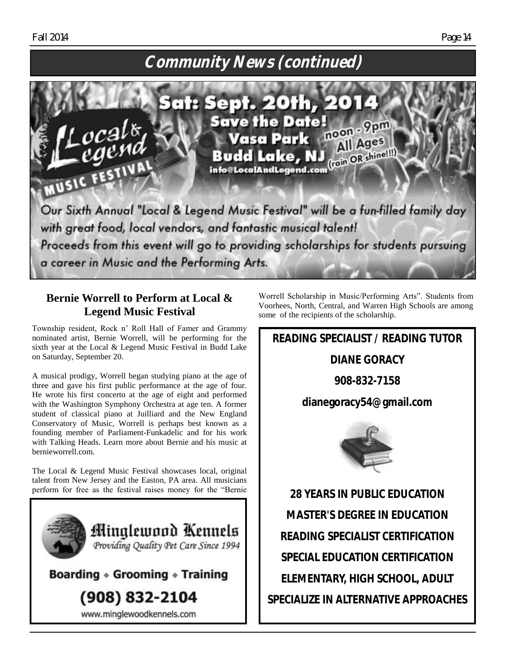# **Community News (continued)**



### **Bernie Worrell to Perform at Local & Legend Music Festival**

Township resident, Rock n' Roll Hall of Famer and Grammy nominated artist, Bernie Worrell, will be performing for the sixth year at the Local & Legend Music Festival in Budd Lake on Saturday, September 20.

A musical prodigy, Worrell began studying piano at the age of three and gave his first public performance at the age of four. He wrote his first concerto at the age of eight and performed with the Washington Symphony Orchestra at age ten. A former student of classical piano at Juilliard and the New England Conservatory of Music, Worrell is perhaps best known as a founding member of [Parliament-Funkadelic](http://en.wikipedia.org/wiki/Parliament-Funkadelic) and for his work with [Talking Heads.](http://en.wikipedia.org/wiki/Talking_Heads) Learn more about Bernie and his music at bernieworrell.com.

The Local & Legend Music Festival showcases local, original talent from New Jersey and the Easton, PA area. All musicians perform for free as the festival raises money for the "Bernie



Worrell Scholarship in Music/Performing Arts". Students from Voorhees, North, Central, and Warren High Schools are among some of the recipients of the scholarship.

**READING SPECIALIST / READING TUTOR** 

**DIANE GORACY**

**908-832-7158**

**dianegoracy54@gmail.com** 



**28 YEARS IN PUBLIC EDUCATION MASTER'S DEGREE IN EDUCATION READING SPECIALIST CERTIFICATION SPECIAL EDUCATION CERTIFICATION ELEMENTARY, HIGH SCHOOL, ADULT SPECIALIZE IN ALTERNATIVE APPROACHES**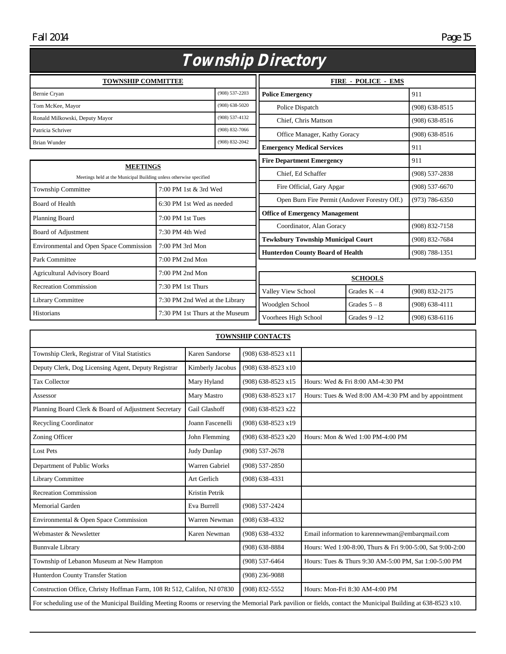Fall 2014 Page 15

|                                                                                       |                                 |                    | Township Directory                        |                                               |                    |
|---------------------------------------------------------------------------------------|---------------------------------|--------------------|-------------------------------------------|-----------------------------------------------|--------------------|
| <b>TOWNSHIP COMMITTEE</b>                                                             |                                 |                    |                                           | <b>FIRE - POLICE - EMS</b>                    |                    |
| Bernie Cryan                                                                          |                                 | $(908) 537 - 2203$ | <b>Police Emergency</b>                   |                                               | 911                |
| Tom McKee, Mayor                                                                      |                                 | $(908) 638 - 5020$ | Police Dispatch                           |                                               | $(908) 638 - 8515$ |
| Ronald Milkowski, Deputy Mayor                                                        |                                 | $(908) 537 - 4132$ | Chief, Chris Mattson                      |                                               | $(908) 638 - 8516$ |
| Patricia Schriver                                                                     |                                 | $(908) 832 - 7066$ | Office Manager, Kathy Goracy              |                                               | $(908) 638 - 8516$ |
| <b>Brian Wunder</b>                                                                   |                                 | $(908) 832 - 2042$ | <b>Emergency Medical Services</b>         |                                               | 911                |
|                                                                                       |                                 |                    | <b>Fire Department Emergency</b>          |                                               | 911                |
| <b>MEETINGS</b><br>Meetings held at the Municipal Building unless otherwise specified |                                 |                    | Chief, Ed Schaffer                        |                                               | $(908)$ 537-2838   |
| <b>Township Committee</b>                                                             | 7:00 PM 1st & 3rd Wed           |                    | Fire Official, Gary Apgar                 |                                               | $(908) 537 - 6670$ |
| <b>Board of Health</b>                                                                | 6:30 PM 1st Wed as needed       |                    |                                           | Open Burn Fire Permit (Andover Forestry Off.) | $(973) 786 - 6350$ |
| Planning Board                                                                        | $7:00$ PM 1st Tues              |                    | <b>Office of Emergency Management</b>     |                                               |                    |
|                                                                                       |                                 |                    | Coordinator, Alan Goracy                  |                                               | $(908) 832 - 7158$ |
| Board of Adjustment                                                                   | $7:30$ PM 4th Wed               |                    | <b>Tewksbury Township Municipal Court</b> |                                               | (908) 832-7684     |
| <b>Environmental and Open Space Commission</b>                                        | 7:00 PM 3rd Mon                 |                    | <b>Hunterdon County Board of Health</b>   |                                               | $(908) 788 - 1351$ |
| Park Committee                                                                        | $7:00$ PM $2nd$ Mon             |                    |                                           |                                               |                    |
| <b>Agricultural Advisory Board</b>                                                    | 7:00 PM 2nd Mon                 |                    |                                           | <b>SCHOOLS</b>                                |                    |
| <b>Recreation Commission</b>                                                          | 7:30 PM 1st Thurs               |                    | Valley View School                        | Grades $K - 4$                                | (908) 832-2175     |
| Library Committee                                                                     | 7:30 PM 2nd Wed at the Library  |                    | Woodglen School                           | Grades $5 - 8$                                | $(908) 638 - 4111$ |
| Historians                                                                            | 7:30 PM 1st Thurs at the Museum |                    | Voorhees High School                      | Grades $9 - 12$                               | $(908)$ 638-6116   |

|                                                                          |                  | <b>TOWNSHIP CONTACTS</b> |                                                                                                                                                               |
|--------------------------------------------------------------------------|------------------|--------------------------|---------------------------------------------------------------------------------------------------------------------------------------------------------------|
| Township Clerk, Registrar of Vital Statistics                            | Karen Sandorse   | (908) 638-8523 x11       |                                                                                                                                                               |
| Deputy Clerk, Dog Licensing Agent, Deputy Registrar                      | Kimberly Jacobus | (908) 638-8523 x10       |                                                                                                                                                               |
| <b>Tax Collector</b>                                                     | Mary Hyland      | $(908)$ 638-8523 x15     | Hours: Wed & Fri 8:00 AM-4:30 PM                                                                                                                              |
| Assessor                                                                 | Mary Mastro      | (908) 638-8523 x17       | Hours: Tues & Wed 8:00 AM-4:30 PM and by appointment                                                                                                          |
| Planning Board Clerk & Board of Adjustment Secretary                     | Gail Glashoff    | (908) 638-8523 x22       |                                                                                                                                                               |
| <b>Recycling Coordinator</b>                                             | Joann Fascenelli | (908) 638-8523 x19       |                                                                                                                                                               |
| Zoning Officer                                                           | John Flemming    | (908) 638-8523 x20       | Hours: Mon & Wed 1:00 PM-4:00 PM                                                                                                                              |
| <b>Lost Pets</b>                                                         | Judy Dunlap      | $(908) 537 - 2678$       |                                                                                                                                                               |
| Department of Public Works                                               | Warren Gabriel   | $(908) 537 - 2850$       |                                                                                                                                                               |
| <b>Library Committee</b>                                                 | Art Gerlich      | $(908)$ 638-4331         |                                                                                                                                                               |
| <b>Recreation Commission</b>                                             | Kristin Petrik   |                          |                                                                                                                                                               |
| <b>Memorial Garden</b>                                                   | Eva Burrell      | $(908) 537 - 2424$       |                                                                                                                                                               |
| Environmental & Open Space Commission                                    | Warren Newman    | $(908)$ 638-4332         |                                                                                                                                                               |
| Webmaster & Newsletter                                                   | Karen Newman     | $(908)$ 638-4332         | Email information to karennewman@embarqmail.com                                                                                                               |
| <b>Bunnvale Library</b>                                                  |                  | $(908)$ 638-8884         | Hours: Wed 1:00-8:00, Thurs & Fri 9:00-5:00, Sat 9:00-2:00                                                                                                    |
| Township of Lebanon Museum at New Hampton                                |                  | $(908) 537 - 6464$       | Hours: Tues & Thurs 9:30 AM-5:00 PM, Sat 1:00-5:00 PM                                                                                                         |
| Hunterdon County Transfer Station                                        |                  | $(908)$ 236-9088         |                                                                                                                                                               |
| Construction Office, Christy Hoffman Farm, 108 Rt 512, Califon, NJ 07830 |                  | $(908) 832 - 5552$       | Hours: Mon-Fri 8:30 AM-4:00 PM                                                                                                                                |
|                                                                          |                  |                          | For scheduling use of the Municipal Building Meeting Rooms or reserving the Memorial Park pavilion or fields, contact the Municipal Building at 638-8523 x10. |